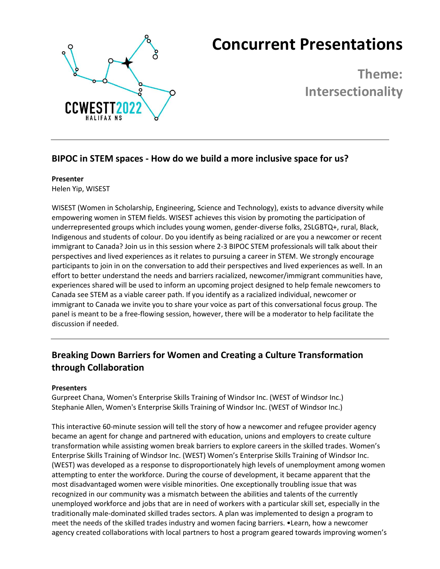

# **Concurrent Presentations**

**Theme: Intersectionality**

### **BIPOC in STEM spaces - How do we build a more inclusive space for us?**

#### **Presenter**

Helen Yip, WISEST

WISEST (Women in Scholarship, Engineering, Science and Technology), exists to advance diversity while empowering women in STEM fields. WISEST achieves this vision by promoting the participation of underrepresented groups which includes young women, gender-diverse folks, 2SLGBTQ+, rural, Black, Indigenous and students of colour. Do you identify as being racialized or are you a newcomer or recent immigrant to Canada? Join us in this session where 2-3 BIPOC STEM professionals will talk about their perspectives and lived experiences as it relates to pursuing a career in STEM. We strongly encourage participants to join in on the conversation to add their perspectives and lived experiences as well. In an effort to better understand the needs and barriers racialized, newcomer/immigrant communities have, experiences shared will be used to inform an upcoming project designed to help female newcomers to Canada see STEM as a viable career path. If you identify as a racialized individual, newcomer or immigrant to Canada we invite you to share your voice as part of this conversational focus group. The panel is meant to be a free-flowing session, however, there will be a moderator to help facilitate the discussion if needed.

## **Breaking Down Barriers for Women and Creating a Culture Transformation through Collaboration**

#### **Presenters**

Gurpreet Chana, Women's Enterprise Skills Training of Windsor Inc. (WEST of Windsor Inc.) Stephanie Allen, Women's Enterprise Skills Training of Windsor Inc. (WEST of Windsor Inc.)

This interactive 60-minute session will tell the story of how a newcomer and refugee provider agency became an agent for change and partnered with education, unions and employers to create culture transformation while assisting women break barriers to explore careers in the skilled trades. Women's Enterprise Skills Training of Windsor Inc. (WEST) Women's Enterprise Skills Training of Windsor Inc. (WEST) was developed as a response to disproportionately high levels of unemployment among women attempting to enter the workforce. During the course of development, it became apparent that the most disadvantaged women were visible minorities. One exceptionally troubling issue that was recognized in our community was a mismatch between the abilities and talents of the currently unemployed workforce and jobs that are in need of workers with a particular skill set, especially in the traditionally male-dominated skilled trades sectors. A plan was implemented to design a program to meet the needs of the skilled trades industry and women facing barriers. •Learn, how a newcomer agency created collaborations with local partners to host a program geared towards improving women's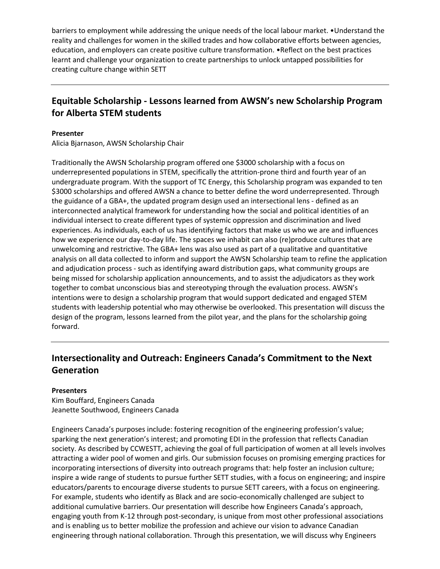barriers to employment while addressing the unique needs of the local labour market. • Understand the reality and challenges for women in the skilled trades and how collaborative efforts between agencies, education, and employers can create positive culture transformation. •Reflect on the best practices learnt and challenge your organization to create partnerships to unlock untapped possibilities for creating culture change within SETT

## **Equitable Scholarship - Lessons learned from AWSN's new Scholarship Program for Alberta STEM students**

#### **Presenter**

Alicia Bjarnason, AWSN Scholarship Chair

Traditionally the AWSN Scholarship program offered one \$3000 scholarship with a focus on underrepresented populations in STEM, specifically the attrition-prone third and fourth year of an undergraduate program. With the support of TC Energy, this Scholarship program was expanded to ten \$3000 scholarships and offered AWSN a chance to better define the word underrepresented. Through the guidance of a GBA+, the updated program design used an intersectional lens - defined as an interconnected analytical framework for understanding how the social and political identities of an individual intersect to create different types of systemic oppression and discrimination and lived experiences. As individuals, each of us has identifying factors that make us who we are and influences how we experience our day-to-day life. The spaces we inhabit can also (re)produce cultures that are unwelcoming and restrictive. The GBA+ lens was also used as part of a qualitative and quantitative analysis on all data collected to inform and support the AWSN Scholarship team to refine the application and adjudication process - such as identifying award distribution gaps, what community groups are being missed for scholarship application announcements, and to assist the adjudicators as they work together to combat unconscious bias and stereotyping through the evaluation process. AWSN's intentions were to design a scholarship program that would support dedicated and engaged STEM students with leadership potential who may otherwise be overlooked. This presentation will discuss the design of the program, lessons learned from the pilot year, and the plans for the scholarship going forward.

## **Intersectionality and Outreach: Engineers Canada's Commitment to the Next Generation**

#### **Presenters**

Kim Bouffard, Engineers Canada Jeanette Southwood, Engineers Canada

Engineers Canada's purposes include: fostering recognition of the engineering profession's value; sparking the next generation's interest; and promoting EDI in the profession that reflects Canadian society. As described by CCWESTT, achieving the goal of full participation of women at all levels involves attracting a wider pool of women and girls. Our submission focuses on promising emerging practices for incorporating intersections of diversity into outreach programs that: help foster an inclusion culture; inspire a wide range of students to pursue further SETT studies, with a focus on engineering; and inspire educators/parents to encourage diverse students to pursue SETT careers, with a focus on engineering. For example, students who identify as Black and are socio-economically challenged are subject to additional cumulative barriers. Our presentation will describe how Engineers Canada's approach, engaging youth from K-12 through post-secondary, is unique from most other professional associations and is enabling us to better mobilize the profession and achieve our vision to advance Canadian engineering through national collaboration. Through this presentation, we will discuss why Engineers